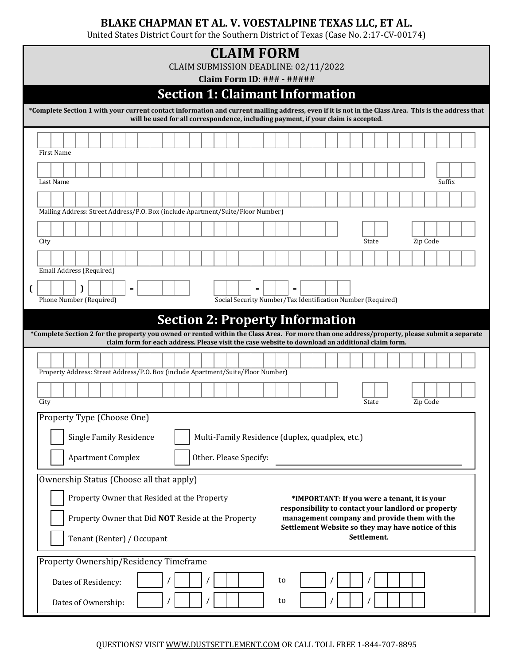## **BLAKE CHAPMAN ET AL. V. VOESTALPINE TEXAS LLC, ET AL.**

United States District Court for the Southern District of Texas (Case No. 2:17-CV-00174)

|      |                            |  |                                |  |  |  | CLAIM SUBMISSION DEADLINE: 02/11/2022                                                            |  | <b>CLAIM FORM</b>                                           |  |    |  |  |  |             |  |                                              |          |                                                     |                                                                                                                                                      |
|------|----------------------------|--|--------------------------------|--|--|--|--------------------------------------------------------------------------------------------------|--|-------------------------------------------------------------|--|----|--|--|--|-------------|--|----------------------------------------------|----------|-----------------------------------------------------|------------------------------------------------------------------------------------------------------------------------------------------------------|
|      |                            |  |                                |  |  |  | <b>Section 1: Claimant Information</b>                                                           |  | <b>Claim Form ID: ### - #####</b>                           |  |    |  |  |  |             |  |                                              |          |                                                     |                                                                                                                                                      |
|      |                            |  |                                |  |  |  |                                                                                                  |  |                                                             |  |    |  |  |  |             |  |                                              |          |                                                     | *Complete Section 1 with your current contact information and current mailing address, even if it is not in the Class Area. This is the address that |
|      |                            |  |                                |  |  |  | will be used for all correspondence, including payment, if your claim is accepted.               |  |                                                             |  |    |  |  |  |             |  |                                              |          |                                                     |                                                                                                                                                      |
|      |                            |  |                                |  |  |  |                                                                                                  |  |                                                             |  |    |  |  |  |             |  |                                              |          |                                                     |                                                                                                                                                      |
|      | <b>First Name</b>          |  |                                |  |  |  |                                                                                                  |  |                                                             |  |    |  |  |  |             |  |                                              |          |                                                     |                                                                                                                                                      |
|      | Last Name                  |  |                                |  |  |  |                                                                                                  |  |                                                             |  |    |  |  |  |             |  |                                              |          | Suffix                                              |                                                                                                                                                      |
|      |                            |  |                                |  |  |  |                                                                                                  |  |                                                             |  |    |  |  |  |             |  |                                              |          |                                                     |                                                                                                                                                      |
|      |                            |  |                                |  |  |  | Mailing Address: Street Address/P.O. Box (include Apartment/Suite/Floor Number)                  |  |                                                             |  |    |  |  |  |             |  |                                              |          |                                                     |                                                                                                                                                      |
|      |                            |  |                                |  |  |  |                                                                                                  |  |                                                             |  |    |  |  |  |             |  |                                              |          |                                                     |                                                                                                                                                      |
| City |                            |  |                                |  |  |  |                                                                                                  |  |                                                             |  |    |  |  |  | State       |  |                                              | Zip Code |                                                     |                                                                                                                                                      |
|      |                            |  |                                |  |  |  |                                                                                                  |  |                                                             |  |    |  |  |  |             |  |                                              |          |                                                     |                                                                                                                                                      |
|      | Email Address (Required)   |  |                                |  |  |  |                                                                                                  |  |                                                             |  |    |  |  |  |             |  |                                              |          |                                                     |                                                                                                                                                      |
|      |                            |  |                                |  |  |  |                                                                                                  |  |                                                             |  |    |  |  |  |             |  |                                              |          |                                                     |                                                                                                                                                      |
|      | Phone Number (Required)    |  |                                |  |  |  |                                                                                                  |  | Social Security Number/Tax Identification Number (Required) |  |    |  |  |  |             |  |                                              |          |                                                     |                                                                                                                                                      |
|      |                            |  |                                |  |  |  | <b>Section 2: Property Information</b>                                                           |  |                                                             |  |    |  |  |  |             |  |                                              |          |                                                     |                                                                                                                                                      |
|      |                            |  |                                |  |  |  | claim form for each address. Please visit the case website to download an additional claim form. |  |                                                             |  |    |  |  |  |             |  |                                              |          |                                                     | *Complete Section 2 for the property you owned or rented within the Class Area. For more than one address/property, please submit a separate         |
|      |                            |  |                                |  |  |  |                                                                                                  |  |                                                             |  |    |  |  |  |             |  |                                              |          |                                                     |                                                                                                                                                      |
|      |                            |  |                                |  |  |  |                                                                                                  |  |                                                             |  |    |  |  |  |             |  |                                              |          |                                                     |                                                                                                                                                      |
|      |                            |  |                                |  |  |  | Property Address: Street Address/P.O. Box (include Apartment/Suite/Floor Number)                 |  |                                                             |  |    |  |  |  |             |  |                                              |          |                                                     |                                                                                                                                                      |
|      |                            |  |                                |  |  |  |                                                                                                  |  |                                                             |  |    |  |  |  |             |  |                                              |          |                                                     |                                                                                                                                                      |
| City |                            |  |                                |  |  |  |                                                                                                  |  |                                                             |  |    |  |  |  | State       |  |                                              | Zip Code |                                                     |                                                                                                                                                      |
|      | Property Type (Choose One) |  |                                |  |  |  |                                                                                                  |  |                                                             |  |    |  |  |  |             |  |                                              |          |                                                     |                                                                                                                                                      |
|      |                            |  | <b>Single Family Residence</b> |  |  |  |                                                                                                  |  | Multi-Family Residence (duplex, quadplex, etc.)             |  |    |  |  |  |             |  |                                              |          |                                                     |                                                                                                                                                      |
|      |                            |  | <b>Apartment Complex</b>       |  |  |  |                                                                                                  |  | Other. Please Specify:                                      |  |    |  |  |  |             |  |                                              |          |                                                     |                                                                                                                                                      |
|      |                            |  |                                |  |  |  |                                                                                                  |  |                                                             |  |    |  |  |  |             |  |                                              |          |                                                     |                                                                                                                                                      |
|      |                            |  |                                |  |  |  | Ownership Status (Choose all that apply)                                                         |  |                                                             |  |    |  |  |  |             |  |                                              |          |                                                     |                                                                                                                                                      |
|      |                            |  |                                |  |  |  | Property Owner that Resided at the Property                                                      |  |                                                             |  |    |  |  |  |             |  | *IMPORTANT: If you were a tenant, it is your |          | responsibility to contact your landlord or property |                                                                                                                                                      |
|      |                            |  |                                |  |  |  | Property Owner that Did <b>NOT</b> Reside at the Property                                        |  |                                                             |  |    |  |  |  |             |  |                                              |          | management company and provide them with the        |                                                                                                                                                      |
|      |                            |  | Tenant (Renter) / Occupant     |  |  |  |                                                                                                  |  |                                                             |  |    |  |  |  | Settlement. |  |                                              |          | Settlement Website so they may have notice of this  |                                                                                                                                                      |
|      |                            |  |                                |  |  |  | Property Ownership/Residency Timeframe                                                           |  |                                                             |  |    |  |  |  |             |  |                                              |          |                                                     |                                                                                                                                                      |
|      |                            |  | Dates of Residency:            |  |  |  |                                                                                                  |  |                                                             |  | to |  |  |  |             |  |                                              |          |                                                     |                                                                                                                                                      |